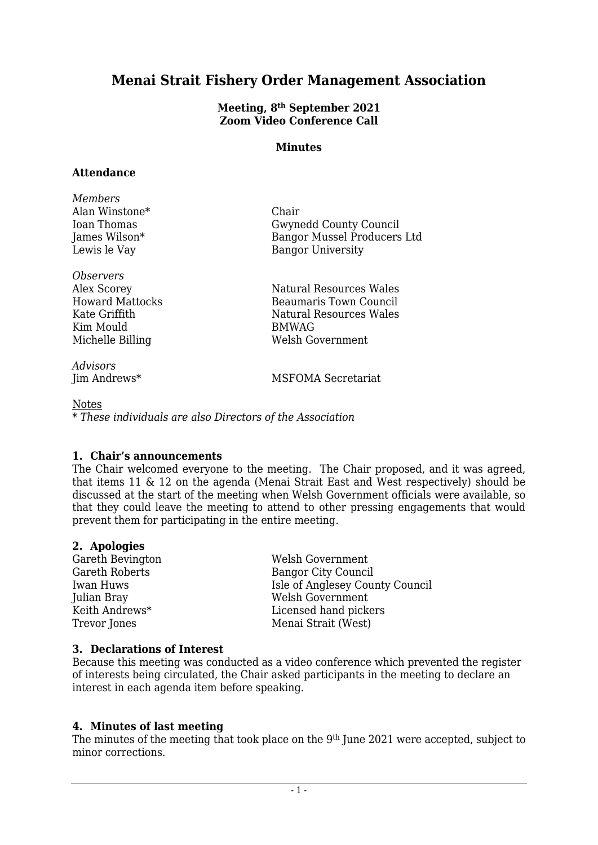# **Menai Strait Fishery Order Management Association**

#### **Meeting, 8 th September 2021 Zoom Video Conference Call**

#### **Minutes**

#### **Attendance**

| Members        |                             |
|----------------|-----------------------------|
| Alan Winstone* | Chair                       |
| Ioan Thomas    | Gwynedd County Council      |
| James Wilson*  | Bangor Mussel Producers Ltd |
| Lewis le Vay   | <b>Bangor University</b>    |
|                |                             |

*Observers* Kim Mould Billing BMWAG<br>Michelle Billing Welsh Go

*Advisors*

Alex Scorey Natural Resources Wales Howard Mattocks Beaumaris Town Council Kate Griffith Natural Resources Wales Welsh Government

MSFOMA Secretariat

Notes *\* These individuals are also Directors of the Association*

# **1. Chair's announcements**

The Chair welcomed everyone to the meeting. The Chair proposed, and it was agreed, that items 11 & 12 on the agenda (Menai Strait East and West respectively) should be discussed at the start of the meeting when Welsh Government officials were available, so that they could leave the meeting to attend to other pressing engagements that would prevent them for participating in the entire meeting.

# **2. Apologies**

Gareth Bevington Welsh Government Bangor City Council Iwan Huws Isle of Anglesey County Council Julian Bray Welsh Government Keith Andrews\* Licensed hand pickers Trevor Jones Menai Strait (West)

# **3. Declarations of Interest**

Because this meeting was conducted as a video conference which prevented the register of interests being circulated, the Chair asked participants in the meeting to declare an interest in each agenda item before speaking.

# **4. Minutes of last meeting**

The minutes of the meeting that took place on the 9th June 2021 were accepted, subject to minor corrections.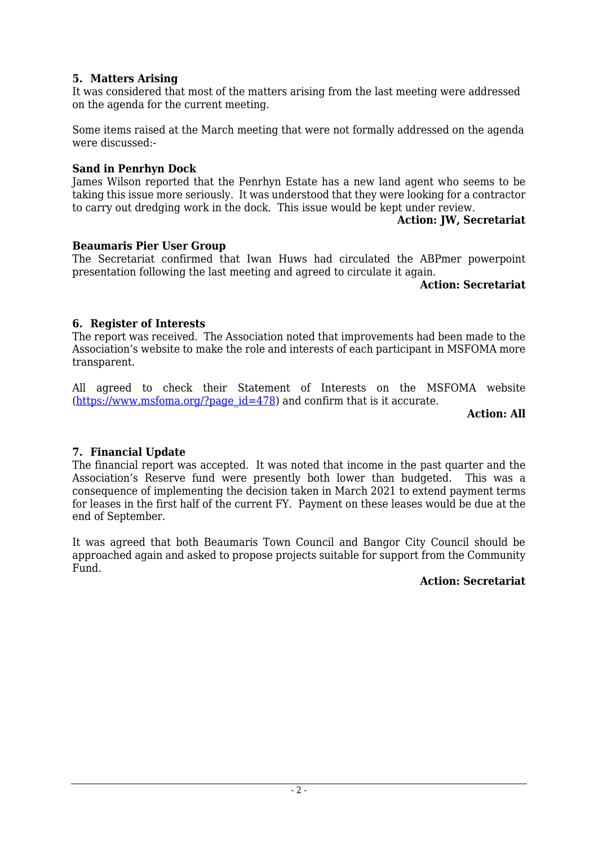# **5. Matters Arising**

It was considered that most of the matters arising from the last meeting were addressed on the agenda for the current meeting.

Some items raised at the March meeting that were not formally addressed on the agenda were discussed:-

#### **Sand in Penrhyn Dock**

James Wilson reported that the Penrhyn Estate has a new land agent who seems to be taking this issue more seriously. It was understood that they were looking for a contractor to carry out dredging work in the dock. This issue would be kept under review.

#### **Action: JW, Secretariat**

## **Beaumaris Pier User Group**

The Secretariat confirmed that Iwan Huws had circulated the ABPmer powerpoint presentation following the last meeting and agreed to circulate it again.

**Action: Secretariat**

# **6. Register of Interests**

The report was received. The Association noted that improvements had been made to the Association's website to make the role and interests of each participant in MSFOMA more transparent.

All agreed to check their Statement of Interests on the MSFOMA website  $(\text{https://www.msfoma.org/?page id=478})$  and confirm that is it accurate.

#### **Action: All**

# **7. Financial Update**

The financial report was accepted. It was noted that income in the past quarter and the Association's Reserve fund were presently both lower than budgeted. This was a consequence of implementing the decision taken in March 2021 to extend payment terms for leases in the first half of the current FY. Payment on these leases would be due at the end of September.

It was agreed that both Beaumaris Town Council and Bangor City Council should be approached again and asked to propose projects suitable for support from the Community Fund.

#### **Action: Secretariat**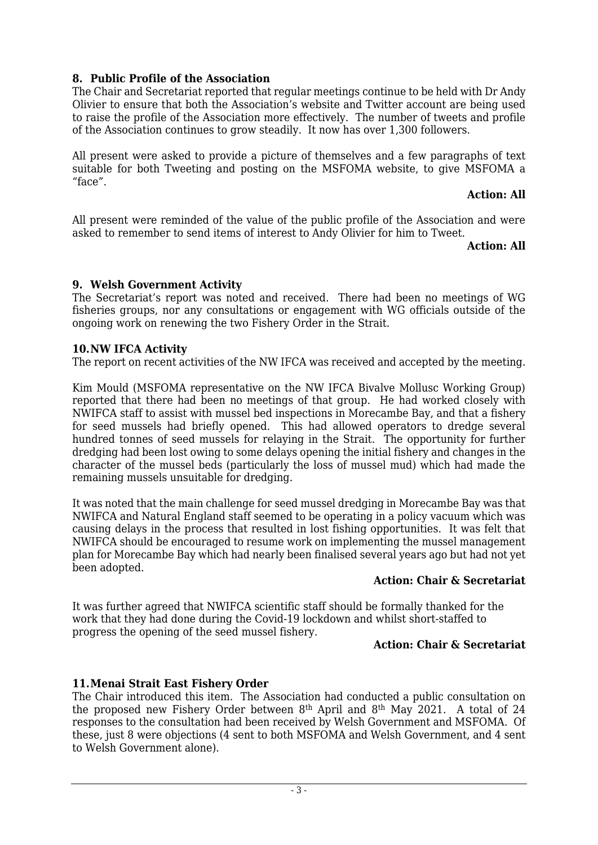# **8. Public Profile of the Association**

The Chair and Secretariat reported that regular meetings continue to be held with Dr Andy Olivier to ensure that both the Association's website and Twitter account are being used to raise the profile of the Association more effectively. The number of tweets and profile of the Association continues to grow steadily. It now has over 1,300 followers.

All present were asked to provide a picture of themselves and a few paragraphs of text suitable for both Tweeting and posting on the MSFOMA website, to give MSFOMA a "face".

## **Action: All**

All present were reminded of the value of the public profile of the Association and were asked to remember to send items of interest to Andy Olivier for him to Tweet.

#### **Action: All**

# **9. Welsh Government Activity**

The Secretariat's report was noted and received. There had been no meetings of WG fisheries groups, nor any consultations or engagement with WG officials outside of the ongoing work on renewing the two Fishery Order in the Strait.

## **10.NW IFCA Activity**

The report on recent activities of the NW IFCA was received and accepted by the meeting.

Kim Mould (MSFOMA representative on the NW IFCA Bivalve Mollusc Working Group) reported that there had been no meetings of that group. He had worked closely with NWIFCA staff to assist with mussel bed inspections in Morecambe Bay, and that a fishery for seed mussels had briefly opened. This had allowed operators to dredge several hundred tonnes of seed mussels for relaying in the Strait. The opportunity for further dredging had been lost owing to some delays opening the initial fishery and changes in the character of the mussel beds (particularly the loss of mussel mud) which had made the remaining mussels unsuitable for dredging.

It was noted that the main challenge for seed mussel dredging in Morecambe Bay was that NWIFCA and Natural England staff seemed to be operating in a policy vacuum which was causing delays in the process that resulted in lost fishing opportunities. It was felt that NWIFCA should be encouraged to resume work on implementing the mussel management plan for Morecambe Bay which had nearly been finalised several years ago but had not yet been adopted.

#### **Action: Chair & Secretariat**

It was further agreed that NWIFCA scientific staff should be formally thanked for the work that they had done during the Covid-19 lockdown and whilst short-staffed to progress the opening of the seed mussel fishery.

#### **Action: Chair & Secretariat**

# **11.Menai Strait East Fishery Order**

The Chair introduced this item. The Association had conducted a public consultation on the proposed new Fishery Order between 8th April and 8th May 2021. A total of 24 responses to the consultation had been received by Welsh Government and MSFOMA. Of these, just 8 were objections (4 sent to both MSFOMA and Welsh Government, and 4 sent to Welsh Government alone).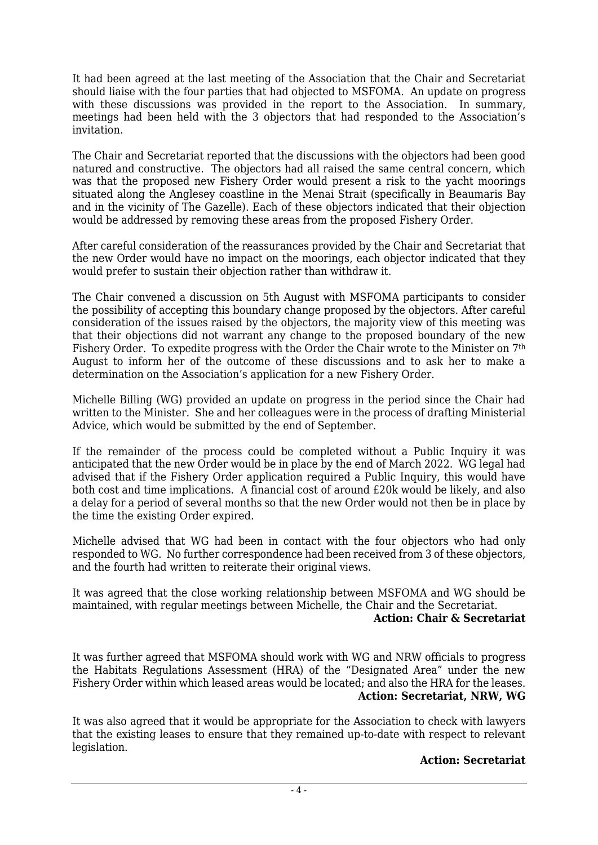It had been agreed at the last meeting of the Association that the Chair and Secretariat should liaise with the four parties that had objected to MSFOMA. An update on progress with these discussions was provided in the report to the Association. In summary, meetings had been held with the 3 objectors that had responded to the Association's invitation.

The Chair and Secretariat reported that the discussions with the objectors had been good natured and constructive. The objectors had all raised the same central concern, which was that the proposed new Fishery Order would present a risk to the yacht moorings situated along the Anglesey coastline in the Menai Strait (specifically in Beaumaris Bay and in the vicinity of The Gazelle). Each of these objectors indicated that their objection would be addressed by removing these areas from the proposed Fishery Order.

After careful consideration of the reassurances provided by the Chair and Secretariat that the new Order would have no impact on the moorings, each objector indicated that they would prefer to sustain their objection rather than withdraw it.

The Chair convened a discussion on 5th August with MSFOMA participants to consider the possibility of accepting this boundary change proposed by the objectors. After careful consideration of the issues raised by the objectors, the majority view of this meeting was that their objections did not warrant any change to the proposed boundary of the new Fishery Order. To expedite progress with the Order the Chair wrote to the Minister on 7th August to inform her of the outcome of these discussions and to ask her to make a determination on the Association's application for a new Fishery Order.

Michelle Billing (WG) provided an update on progress in the period since the Chair had written to the Minister. She and her colleagues were in the process of drafting Ministerial Advice, which would be submitted by the end of September.

If the remainder of the process could be completed without a Public Inquiry it was anticipated that the new Order would be in place by the end of March 2022. WG legal had advised that if the Fishery Order application required a Public Inquiry, this would have both cost and time implications. A financial cost of around £20k would be likely, and also a delay for a period of several months so that the new Order would not then be in place by the time the existing Order expired.

Michelle advised that WG had been in contact with the four objectors who had only responded to WG. No further correspondence had been received from 3 of these objectors, and the fourth had written to reiterate their original views.

It was agreed that the close working relationship between MSFOMA and WG should be maintained, with regular meetings between Michelle, the Chair and the Secretariat.

#### **Action: Chair & Secretariat**

It was further agreed that MSFOMA should work with WG and NRW officials to progress the Habitats Regulations Assessment (HRA) of the "Designated Area" under the new Fishery Order within which leased areas would be located; and also the HRA for the leases. **Action: Secretariat, NRW, WG**

It was also agreed that it would be appropriate for the Association to check with lawyers that the existing leases to ensure that they remained up-to-date with respect to relevant legislation.

#### **Action: Secretariat**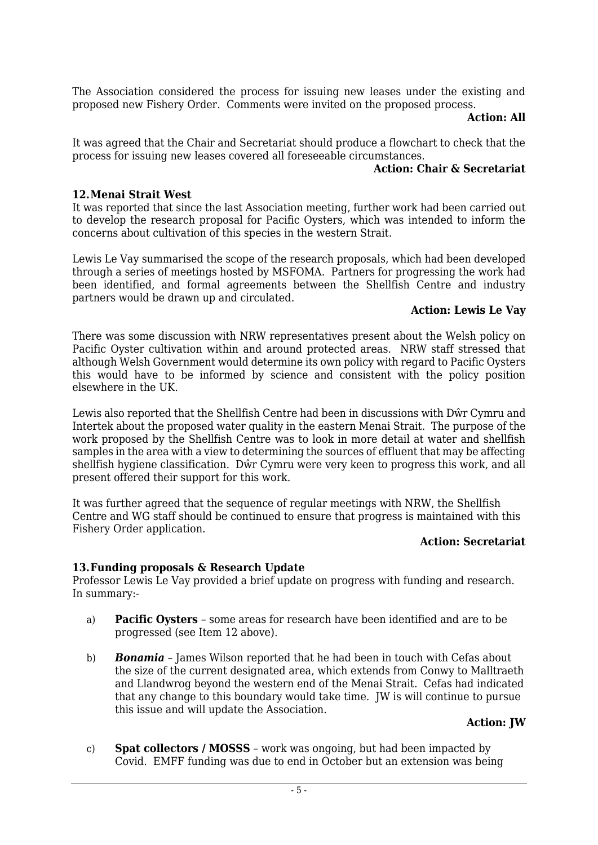The Association considered the process for issuing new leases under the existing and proposed new Fishery Order. Comments were invited on the proposed process.

#### **Action: All**

It was agreed that the Chair and Secretariat should produce a flowchart to check that the process for issuing new leases covered all foreseeable circumstances.

#### **Action: Chair & Secretariat**

#### **12.Menai Strait West**

It was reported that since the last Association meeting, further work had been carried out to develop the research proposal for Pacific Oysters, which was intended to inform the concerns about cultivation of this species in the western Strait.

Lewis Le Vay summarised the scope of the research proposals, which had been developed through a series of meetings hosted by MSFOMA. Partners for progressing the work had been identified, and formal agreements between the Shellfish Centre and industry partners would be drawn up and circulated.

## **Action: Lewis Le Vay**

There was some discussion with NRW representatives present about the Welsh policy on Pacific Oyster cultivation within and around protected areas. NRW staff stressed that although Welsh Government would determine its own policy with regard to Pacific Oysters this would have to be informed by science and consistent with the policy position elsewhere in the UK.

Lewis also reported that the Shellfish Centre had been in discussions with Dŵr Cymru and Intertek about the proposed water quality in the eastern Menai Strait. The purpose of the work proposed by the Shellfish Centre was to look in more detail at water and shellfish samples in the area with a view to determining the sources of effluent that may be affecting shellfish hygiene classification. Dŵr Cymru were very keen to progress this work, and all present offered their support for this work.

It was further agreed that the sequence of regular meetings with NRW, the Shellfish Centre and WG staff should be continued to ensure that progress is maintained with this Fishery Order application.

#### **Action: Secretariat**

#### **13.Funding proposals & Research Update**

Professor Lewis Le Vay provided a brief update on progress with funding and research. In summary:-

- a) **Pacific Oysters** some areas for research have been identified and are to be progressed (see Item 12 above).
- b) *Bonamia* James Wilson reported that he had been in touch with Cefas about the size of the current designated area, which extends from Conwy to Malltraeth and Llandwrog beyond the western end of the Menai Strait. Cefas had indicated that any change to this boundary would take time. JW is will continue to pursue this issue and will update the Association.

#### **Action: JW**

c) **Spat collectors / MOSSS** – work was ongoing, but had been impacted by Covid. EMFF funding was due to end in October but an extension was being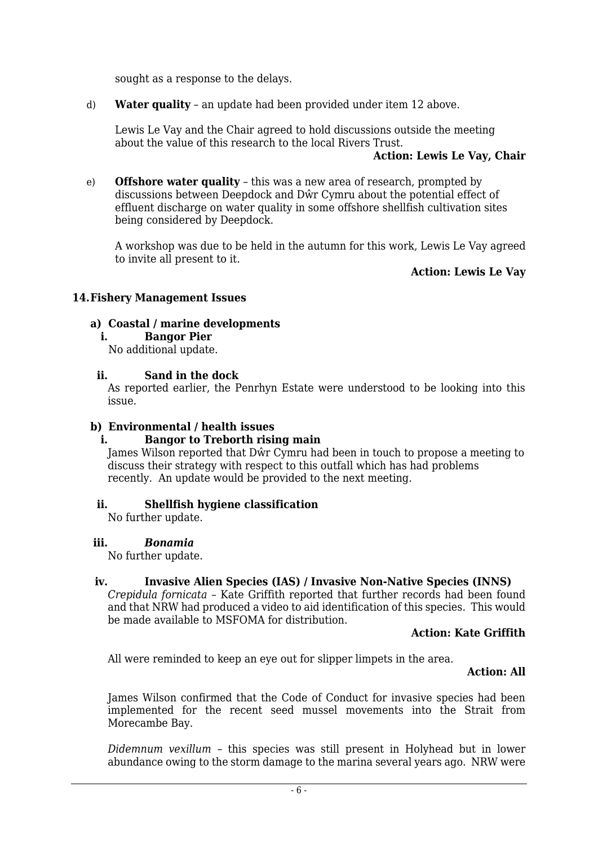sought as a response to the delays.

d) **Water quality** – an update had been provided under item 12 above.

Lewis Le Vay and the Chair agreed to hold discussions outside the meeting about the value of this research to the local Rivers Trust.

#### **Action: Lewis Le Vay, Chair**

e) **Offshore water quality** – this was a new area of research, prompted by discussions between Deepdock and Dŵr Cymru about the potential effect of effluent discharge on water quality in some offshore shellfish cultivation sites being considered by Deepdock.

A workshop was due to be held in the autumn for this work, Lewis Le Vay agreed to invite all present to it.

#### **Action: Lewis Le Vay**

#### **14.Fishery Management Issues**

#### **a) Coastal / marine developments**

**i. Bangor Pier**

No additional update.

#### **ii. Sand in the dock**

As reported earlier, the Penrhyn Estate were understood to be looking into this issue.

#### **b) Environmental / health issues**

#### **i. Bangor to Treborth rising main**

James Wilson reported that Dŵr Cymru had been in touch to propose a meeting to discuss their strategy with respect to this outfall which has had problems recently. An update would be provided to the next meeting.

#### **ii. Shellfish hygiene classification**

No further update.

#### **iii.** *Bonamia*

No further update.

#### **iv. Invasive Alien Species (IAS) / Invasive Non-Native Species (INNS)**

*Crepidula fornicata* – Kate Griffith reported that further records had been found and that NRW had produced a video to aid identification of this species. This would be made available to MSFOMA for distribution.

#### **Action: Kate Griffith**

All were reminded to keep an eye out for slipper limpets in the area.

#### **Action: All**

James Wilson confirmed that the Code of Conduct for invasive species had been implemented for the recent seed mussel movements into the Strait from Morecambe Bay.

*Didemnum vexillum* – this species was still present in Holyhead but in lower abundance owing to the storm damage to the marina several years ago. NRW were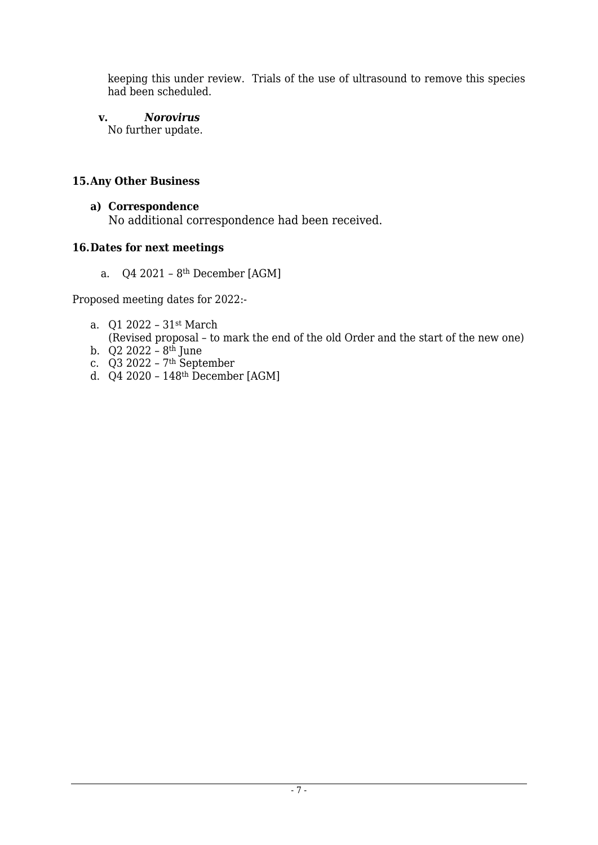keeping this under review. Trials of the use of ultrasound to remove this species had been scheduled.

**v.** *Norovirus*

No further update.

# **15.Any Other Business**

#### **a) Correspondence** No additional correspondence had been received.

# **16.Dates for next meetings**

a. Q4 2021 – 8th December [AGM]

Proposed meeting dates for 2022:-

a. Q1 2022 – 31st March

(Revised proposal – to mark the end of the old Order and the start of the new one)

- b.  $Q2\,2022 8$ <sup>th</sup> June
- c. Q3 2022 7th September
- d. Q4 2020 148th December [AGM]